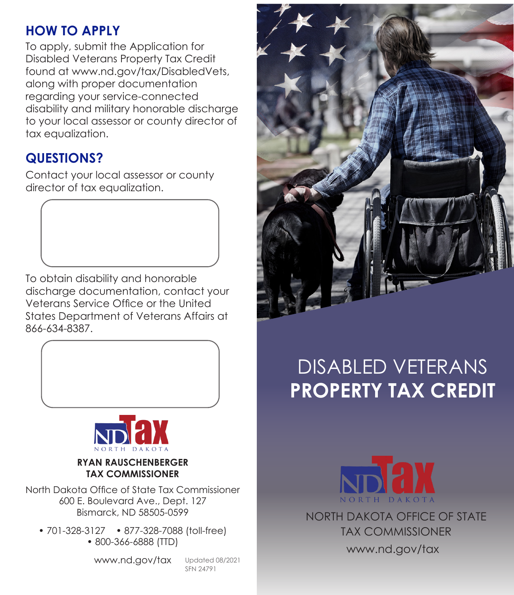#### **HOW TO APPLY**

To apply, submit the Application for Disabled Veterans Property Tax Credit found at www.nd.gov/tax/DisabledVets, along with proper documentation regarding your service-connected disability and military honorable discharge to your local assessor or county director of tax equalization.

# **QUESTIONS?**

Contact your local assessor or county director of tax equalization.

To obtain disability and honorable discharge documentation, contact your Veterans Service Office or the United States Department of Veterans Affairs at 866-634-8387.





**RYAN RAUSCHENBERGER TAX COMMISSIONER**

North Dakota Office of State Tax Commissioner 600 E. Boulevard Ave., Dept. 127 Bismarck, ND 58505-0599

• 701-328-3127 • 877-328-7088 (toll-free) • 800-366-6888 (TTD)

www.nd.gov/tax

Updated 08/2021 SFN 24791



# DISABLED VETERANS **PROPERTY TAX CREDIT**



NORTH DAKOTA OFFICE OF STATE www.nd.gov/tax TAX COMMISSIONER